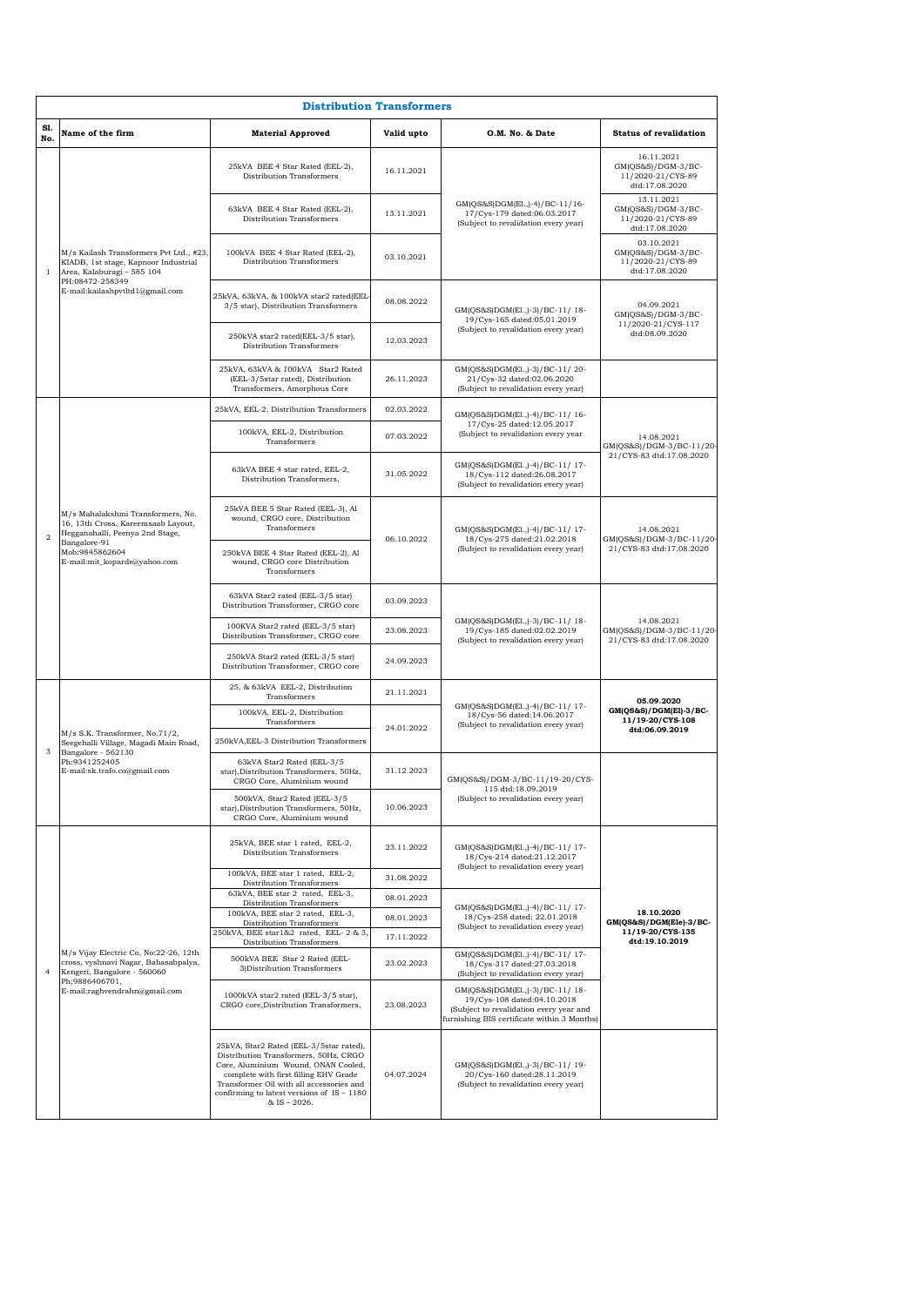|                | <b>Distribution Transformers</b>                                                                                                                                             |                                                                                                                                                                                                                                                                              |                                                                                                                     |                                                                                                                                                                                                                 |                                                                             |  |  |
|----------------|------------------------------------------------------------------------------------------------------------------------------------------------------------------------------|------------------------------------------------------------------------------------------------------------------------------------------------------------------------------------------------------------------------------------------------------------------------------|---------------------------------------------------------------------------------------------------------------------|-----------------------------------------------------------------------------------------------------------------------------------------------------------------------------------------------------------------|-----------------------------------------------------------------------------|--|--|
| S1.<br>No.     | Name of the firm                                                                                                                                                             | <b>Material Approved</b>                                                                                                                                                                                                                                                     | Valid upto                                                                                                          | O.M. No. & Date                                                                                                                                                                                                 | <b>Status of revalidation</b>                                               |  |  |
|                | M/s Kailash Transformers Pvt Ltd., #23.<br>KIADB, 1st stage, Kapnoor Industrial<br>Area, Kalaburagi - 585 104<br>PH:08472-258349<br>E-mail:kailashpvtltd1@gmail.com          | 25kVA BEE 4 Star Rated (EEL-2),<br>Distribution Transformers                                                                                                                                                                                                                 | 16.11.2021                                                                                                          | GM(QS&S)DGM(El.,)-4)/BC-11/16-<br>17/Cys-179 dated:06.03.2017<br>(Subject to revalidation every year)                                                                                                           | 16.11.2021<br>$GM(QS&S)/DGM-3/BC-$<br>11/2020-21/CYS-89<br>dtd:17.08.2020   |  |  |
|                |                                                                                                                                                                              | 63kVA BEE 4 Star Rated (EEL-2),<br>Distribution Transformers                                                                                                                                                                                                                 | 13.11.2021                                                                                                          |                                                                                                                                                                                                                 | 13.11.2021<br>GM(QS&S)/DGM-3/BC-<br>11/2020-21/CYS-89<br>dtd:17.08.2020     |  |  |
| $\mathbf{1}$   |                                                                                                                                                                              | 100kVA BEE 4 Star Rated (EEL-2),<br>Distribution Transformers                                                                                                                                                                                                                | 03.10.2021                                                                                                          |                                                                                                                                                                                                                 | 03.10.2021<br>GM(QS&S)/DGM-3/BC-<br>11/2020-21/CYS-89<br>dtd:17.08.2020     |  |  |
|                |                                                                                                                                                                              | 25kVA, 63kVA, & 100kVA star2 rated(EEL-<br>3/5 star), Distribution Transformers                                                                                                                                                                                              | 08.08.2022                                                                                                          | GM(QS&S)DGM(El.,)-3)/BC-11/18-<br>19/Cys-165 dated:05.01.2019                                                                                                                                                   | 04.09.2021<br>GM(QS&S)/DGM-3/BC-<br>11/2020-21/CYS-117<br>dtd:08.09.2020    |  |  |
|                |                                                                                                                                                                              | 250kVA star2 rated(EEL-3/5 star),<br>Distribution Transformers                                                                                                                                                                                                               | 12.03.2023                                                                                                          | (Subject to revalidation every year)                                                                                                                                                                            |                                                                             |  |  |
|                |                                                                                                                                                                              | 25kVA, 63kVA & 100kVA Star2 Rated<br>(EEL-3/5star rated), Distribution<br>Transformers, Amorphous Core                                                                                                                                                                       | 26.11.2023                                                                                                          | GM(QS&S)DGM(El.,)-3)/BC-11/20-<br>21/Cys-32 dated:02.06.2020<br>(Subject to revalidation every year)                                                                                                            |                                                                             |  |  |
|                |                                                                                                                                                                              | 25kVA, EEL-2, Distribution Transformers                                                                                                                                                                                                                                      | 02.03.2022                                                                                                          | GM(QS&S)DGM(El.,)-4)/BC-11/16-                                                                                                                                                                                  |                                                                             |  |  |
|                |                                                                                                                                                                              | 100kVA, EEL-2, Distribution<br>Transformers                                                                                                                                                                                                                                  | 07.03.2022                                                                                                          | 17/Cys-25 dated:12.05.2017<br>(Subject to revalidation every year                                                                                                                                               | 14.08.2021                                                                  |  |  |
|                |                                                                                                                                                                              | 63kVA BEE 4 star rated, EEL-2,<br>Distribution Transformers,                                                                                                                                                                                                                 | 31.05.2022                                                                                                          | GM(QS&S)DGM(El.,)-4)/BC-11/17-<br>18/Cys-112 dated:26.08.2017<br>(Subject to revalidation every year)                                                                                                           | GM(QS&S)/DGM-3/BC-11/20-<br>21/CYS-83 dtd:17.08.2020                        |  |  |
| $\overline{2}$ | M/s Mahalakshmi Transformers, No.<br>16, 13th Cross, Kareemsaab Layout,<br>Hegganahalli, Peenya 2nd Stage,<br>Bangalore-91<br>Mob:9845862604<br>E-mail:mit_koparde@yahoo.com | 25kVA BEE 5 Star Rated (EEL-3), Al<br>wound, CRGO core, Distribution<br>Transformers                                                                                                                                                                                         | GM(QS&S)DGM(El.,)-4)/BC-11/17-<br>06.10.2022<br>18/Cys-275 dated:21.02.2018<br>(Subject to revalidation every year) |                                                                                                                                                                                                                 | 14.08.2021<br>GM(QS&S)/DGM-3/BC-11/20-                                      |  |  |
|                |                                                                                                                                                                              | 250kVA BEE 4 Star Rated (EEL-2), Al<br>wound, CRGO core Distribution<br>Transformers                                                                                                                                                                                         |                                                                                                                     | 21/CYS-83 dtd:17.08.2020                                                                                                                                                                                        |                                                                             |  |  |
|                |                                                                                                                                                                              | 63kVA Star2 rated (EEL-3/5 star)<br>Distribution Transformer, CRGO core                                                                                                                                                                                                      | 03.09.2023                                                                                                          | GM(QS&S)DGM(El.,)-3)/BC-11/18-<br>19/Cys-185 dated:02.02.2019<br>(Subject to revalidation every year)                                                                                                           |                                                                             |  |  |
|                |                                                                                                                                                                              | 100KVA Star2 rated (EEL-3/5 star)<br>Distribution Transformer, CRGO core                                                                                                                                                                                                     | 23.08.2023                                                                                                          |                                                                                                                                                                                                                 | 14.08.2021<br>GM(QS&S)/DGM-3/BC-11/20-<br>21/CYS-83 dtd:17.08.2020          |  |  |
|                |                                                                                                                                                                              | 250kVA Star2 rated (EEL-3/5 star)<br>Distribution Transformer, CRGO core                                                                                                                                                                                                     | 24.09.2023                                                                                                          |                                                                                                                                                                                                                 |                                                                             |  |  |
|                | M/s S.K. Transformer, No.71/2,<br>Seegehalli Village, Magadi Main Road,<br>Bangalore - 562130<br>Ph:9341252405<br>E-mail:sk.trafo.co@gmail.com                               | 25, & 63kVA EEL-2, Distribution<br>Transformers                                                                                                                                                                                                                              | 21.11.2021                                                                                                          | GM(QS&S)DGM(El.,)-4)/BC-11/17-<br>18/Cys-56 dated:14.06.2017<br>(Subject to revalidation every year)                                                                                                            | 05.09.2020<br>GM(QS&S)/DGM(El)-3/BC-<br>11/19-20/CYS-108<br>dtd:06.09.2019  |  |  |
|                |                                                                                                                                                                              | 100kVA, EEL-2, Distribution<br>Transformers                                                                                                                                                                                                                                  | 24.01.2022                                                                                                          |                                                                                                                                                                                                                 |                                                                             |  |  |
| 3              |                                                                                                                                                                              | 250kVA, EEL-3 Distribution Transformers                                                                                                                                                                                                                                      |                                                                                                                     |                                                                                                                                                                                                                 |                                                                             |  |  |
|                |                                                                                                                                                                              | 63kVA Star2 Rated (EEL-3/5<br>star).Distribution Transformers, 50Hz.<br>CRGO Core, Aluminium wound                                                                                                                                                                           | 31.12.2023                                                                                                          | GM(QS&S)/DGM-3/BC-11/19-20/CYS-<br>115 dtd:18.09.2019                                                                                                                                                           |                                                                             |  |  |
|                |                                                                                                                                                                              | 500kVA, Star2 Rated (EEL-3/5<br>star), Distribution Transformers, 50Hz,<br>CRGO Core, Aluminium wound                                                                                                                                                                        | 10.06.2023                                                                                                          | (Subject to revalidation every year)                                                                                                                                                                            |                                                                             |  |  |
|                |                                                                                                                                                                              | 25kVA, BEE star 1 rated, EEL-2,<br>Distribution Transformers                                                                                                                                                                                                                 | 23.11.2022                                                                                                          | GM(QS&S)DGM(El.,)-4)/BC-11/17-<br>18/Cys-214 dated:21.12.2017<br>(Subject to revalidation every year)<br>GM(QS&S)DGM(El.,)-4)/BC-11/17-<br>18/Cys-258 dated: 22.01.2018<br>(Subject to revalidation every year) |                                                                             |  |  |
|                |                                                                                                                                                                              | 100kVA, BEE star 1 rated, EEL-2.<br>Distribution Transformers                                                                                                                                                                                                                | 31.08.2022                                                                                                          |                                                                                                                                                                                                                 | 18.10.2020<br>GM(QS&S)/DGM(Ele)-3/BC-<br>11/19-20/CYS-135<br>dtd:19.10.2019 |  |  |
|                |                                                                                                                                                                              | 63kVA, BEE star 2 rated, EEL-3,<br>Distribution Transformers                                                                                                                                                                                                                 | 08.01.2023                                                                                                          |                                                                                                                                                                                                                 |                                                                             |  |  |
|                |                                                                                                                                                                              | 100kVA, BEE star 2 rated, EEL-3,<br>Distribution Transformers                                                                                                                                                                                                                | 08.01.2023                                                                                                          |                                                                                                                                                                                                                 |                                                                             |  |  |
|                | M/s Vijay Electric Co, No:22-26, 12th                                                                                                                                        | 250kVA, BEE star1&2 rated, EEL-2 & 3,<br>Distribution Transformers                                                                                                                                                                                                           | 17.11.2022                                                                                                          | GM(QS&S)DGM(El.,)-4)/BC-11/17-                                                                                                                                                                                  |                                                                             |  |  |
| $\overline{4}$ | cross, vyshnavi Nagar, Babasabpalya,<br>Kengeri, Bangalore - 560060<br>Ph;9886406701,<br>E-mail:raghvendrahn@gmail.com                                                       | 500kVA BEE Star 2 Rated (EEL-<br>3) Distribution Transformers                                                                                                                                                                                                                | 23.02.2023                                                                                                          | 18/Cys-317 dated:27.03.2018<br>(Subject to revalidation every year)                                                                                                                                             |                                                                             |  |  |
|                |                                                                                                                                                                              | 1000kVA star2 rated (EEL-3/5 star),<br>CRGO core, Distribution Transformers,                                                                                                                                                                                                 | 23.08.2023                                                                                                          | GM(QS&S)DGM(El.,)-3)/BC-11/18-<br>19/Cys-108 dated:04.10.2018<br>(Subject to revalidation every year and<br>furnishing BIS certificate within 3 Months)                                                         |                                                                             |  |  |
|                |                                                                                                                                                                              | 25kVA, Star2 Rated (EEL-3/5star rated),<br>Distribution Transformers, 50Hz, CRGO<br>Core, Aluminium Wound, ONAN Cooled,<br>complete with first filling EHV Grade<br>Transformer Oil with all accessories and<br>confirming to latest versions of IS - 1180<br>$&$ IS - 2026. | 04.07.2024                                                                                                          | GM(QS&S)DGM(El.,)-3)/BC-11/ 19-<br>20/Cys-160 dated:28.11.2019<br>(Subject to revalidation every year)                                                                                                          |                                                                             |  |  |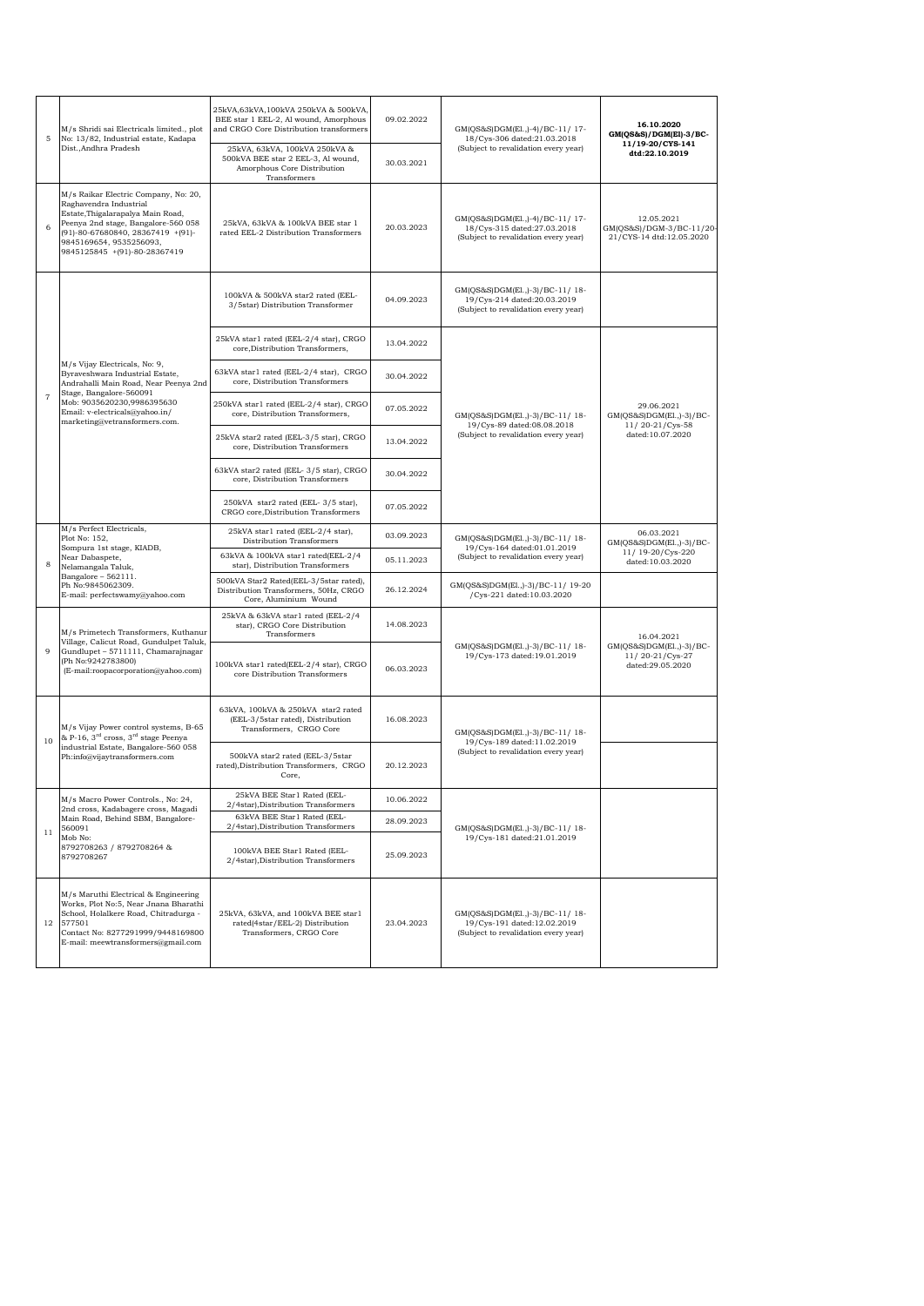| 5              | M/s Shridi sai Electricals limited., plot<br>No: 13/82, Industrial estate, Kadapa<br>Dist., Andhra Pradesh                                                                                                                                 | 25kVA,63kVA,100kVA 250kVA & 500kVA,<br>BEE star 1 EEL-2, Al wound, Amorphous<br>and CRGO Core Distribution transformers | 09.02.2022 | GM(QS&S)DGM(El.,)-4)/BC-11/ 17-<br>18/Cys-306 dated:21.03.2018                                        | 16.10.2020<br>GM(QS&S)/DGM(El)-3/BC-<br>11/19-20/CYS-141           |
|----------------|--------------------------------------------------------------------------------------------------------------------------------------------------------------------------------------------------------------------------------------------|-------------------------------------------------------------------------------------------------------------------------|------------|-------------------------------------------------------------------------------------------------------|--------------------------------------------------------------------|
|                |                                                                                                                                                                                                                                            | 25kVA, 63kVA, 100kVA 250kVA &<br>500kVA BEE star 2 EEL-3, Al wound,<br>Amorphous Core Distribution<br>Transformers      | 30.03.2021 | (Subject to revalidation every year)                                                                  | dtd:22.10.2019                                                     |
|                | M/s Raikar Electric Company, No: 20,<br>Raghavendra Industrial<br>Estate, Thigalarapalya Main Road,<br>Peenya 2nd stage, Bangalore-560 058<br>(91)-80-67680840, 28367419 +(91)-<br>9845169654, 9535256093,<br>9845125845 +(91)-80-28367419 | 25kVA, 63kVA & 100kVA BEE star 1<br>rated EEL-2 Distribution Transformers                                               | 20.03.2023 | GM(QS&S)DGM(El.,)-4)/BC-11/17-<br>18/Cys-315 dated:27.03.2018<br>(Subject to revalidation every year) | 12.05.2021<br>GM(QS&S)/DGM-3/BC-11/20-<br>21/CYS-14 dtd:12.05.2020 |
|                |                                                                                                                                                                                                                                            | 100kVA & 500kVA star2 rated (EEL-<br>3/5star) Distribution Transformer                                                  | 04.09.2023 | GM(QS&S)DGM(El.,)-3)/BC-11/18-<br>19/Cys-214 dated:20.03.2019<br>(Subject to revalidation every year) |                                                                    |
|                |                                                                                                                                                                                                                                            | 25kVA star1 rated (EEL-2/4 star), CRGO<br>core, Distribution Transformers,                                              | 13.04.2022 |                                                                                                       |                                                                    |
|                | M/s Vijay Electricals, No: 9,<br>Byraveshwara Industrial Estate,<br>Andrahalli Main Road, Near Peenya 2nd<br>Stage, Bangalore-560091                                                                                                       | 63kVA star1 rated (EEL-2/4 star), CRGO<br>core, Distribution Transformers                                               | 30.04.2022 |                                                                                                       |                                                                    |
| $\overline{7}$ | Mob: 9035620230,9986395630<br>Email: v-electricals@yahoo.in/<br>marketing@vetransformers.com.                                                                                                                                              | 250kVA star1 rated (EEL-2/4 star), CRGO<br>core, Distribution Transformers,                                             | 07.05.2022 | GM(QS&S)DGM(El.,)-3)/BC-11/18-<br>19/Cys-89 dated:08.08.2018                                          | 29.06.2021<br>GM(QS&S)DGM(El.,)-3)/BC-<br>11/20-21/Cys-58          |
|                |                                                                                                                                                                                                                                            | 25kVA star2 rated (EEL-3/5 star), CRGO<br>core, Distribution Transformers                                               | 13.04.2022 | (Subject to revalidation every year)                                                                  | dated:10.07.2020                                                   |
|                |                                                                                                                                                                                                                                            | 63kVA star2 rated (EEL-3/5 star), CRGO<br>core, Distribution Transformers                                               | 30.04.2022 |                                                                                                       |                                                                    |
|                |                                                                                                                                                                                                                                            | 250kVA star2 rated (EEL-3/5 star),<br>CRGO core, Distribution Transformers                                              | 07.05.2022 |                                                                                                       |                                                                    |
|                | M/s Perfect Electricals,<br>Plot No: 152,<br>Sompura 1st stage, KIADB,<br>Near Dabaspete,<br>Nelamangala Taluk,<br>Bangalore - $562111.$<br>Ph No:9845062309.<br>E-mail: perfectswamy@yahoo.com                                            | 25kVA star1 rated (EEL-2/4 star),<br>Distribution Transformers                                                          | 03.09.2023 | GM(QS&S)DGM(El.,)-3)/BC-11/18-<br>19/Cys-164 dated:01.01.2019                                         | 06.03.2021<br>GM(QS&S)DGM(El.,)-3)/BC-                             |
|                |                                                                                                                                                                                                                                            | 63kVA & 100kVA star1 rated(EEL-2/4<br>star), Distribution Transformers                                                  | 05.11.2023 | (Subject to revalidation every year)                                                                  | 11/19-20/Cys-220<br>dated:10.03.2020                               |
|                |                                                                                                                                                                                                                                            | 500kVA Star2 Rated(EEL-3/5star rated),<br>Distribution Transformers, 50Hz, CRGO<br>Core, Aluminium Wound                | 26.12.2024 | GM(QS&S)DGM(El.,)-3)/BC-11/ 19-20<br>/Cys-221 dated:10.03.2020                                        |                                                                    |
|                | M/s Primetech Transformers, Kuthanur<br>Village, Calicut Road, Gundulpet Taluk,<br>Gundlupet - 5711111, Chamarajnagar<br>(Ph No:9242783800)<br>(E-mail:roopacorporation@yahoo.com)                                                         | 25kVA & 63kVA star1 rated (EEL-2/4<br>star), CRGO Core Distribution<br>Transformers                                     | 14.08.2023 |                                                                                                       | 16.04.2021                                                         |
|                |                                                                                                                                                                                                                                            | 100kVA star1 rated(EEL-2/4 star), CRGO<br>core Distribution Transformers                                                | 06.03.2023 | GM(QS&S)DGM(El.,)-3)/BC-11/18-<br>19/Cys-173 dated:19.01.2019                                         | GM(QS&S)DGM(El.,)-3)/BC-<br>11/20-21/Cys-27<br>dated:29.05.2020    |
| 10             | M/s Vijay Power control systems, B-65<br>& P-16, 3 <sup>rd</sup> cross, 3 <sup>rd</sup> stage Peenya<br>industrial Estate, Bangalore-560 058<br>Ph:info@vijaytransformers.com                                                              | 63kVA, 100kVA & 250kVA star2 rated<br>(EEL-3/5star rated), Distribution<br>Transformers, CRGO Core                      | 16.08.2023 | GM(QS&S)DGM(El.,)-3)/BC-11/18-<br>19/Cys-189 dated:11.02.2019<br>(Subject to revalidation every year) |                                                                    |
|                |                                                                                                                                                                                                                                            | 500kVA star2 rated (EEL-3/5star<br>rated), Distribution Transformers, CRGO<br>Core,                                     | 20.12.2023 |                                                                                                       |                                                                    |
|                | M/s Macro Power Controls., No: 24,<br>2nd cross, Kadabagere cross, Magadi<br>Main Road, Behind SBM, Bangalore-<br>560091<br>Mob No:<br>8792708263 / 8792708264 &<br>8792708267                                                             | 25kVA BEE Star1 Rated (EEL-<br>2/4star), Distribution Transformers                                                      | 10.06.2022 | GM(QS&S)DGM(El.,)-3)/BC-11/18-                                                                        |                                                                    |
| 11             |                                                                                                                                                                                                                                            | 63kVA BEE Star1 Rated (EEL-<br>2/4star), Distribution Transformers                                                      | 28.09.2023 |                                                                                                       |                                                                    |
|                |                                                                                                                                                                                                                                            | 100kVA BEE Star1 Rated (EEL-<br>2/4star), Distribution Transformers                                                     | 25.09.2023 | 19/Cys-181 dated:21.01.2019                                                                           |                                                                    |
| 12             | M/s Maruthi Electrical & Engineering<br>Works, Plot No:5, Near Jnana Bharathi<br>School, Holalkere Road, Chitradurga -<br>577501<br>Contact No: 8277291999/9448169800<br>E-mail: meewtransformers@gmail.com                                | 25kVA, 63kVA, and 100kVA BEE star1<br>rated(4star/EEL-2) Distribution<br>Transformers, CRGO Core                        | 23.04.2023 | GM(QS&S)DGM(El.,)-3)/BC-11/18-<br>19/Cys-191 dated:12.02.2019<br>(Subject to revalidation every year) |                                                                    |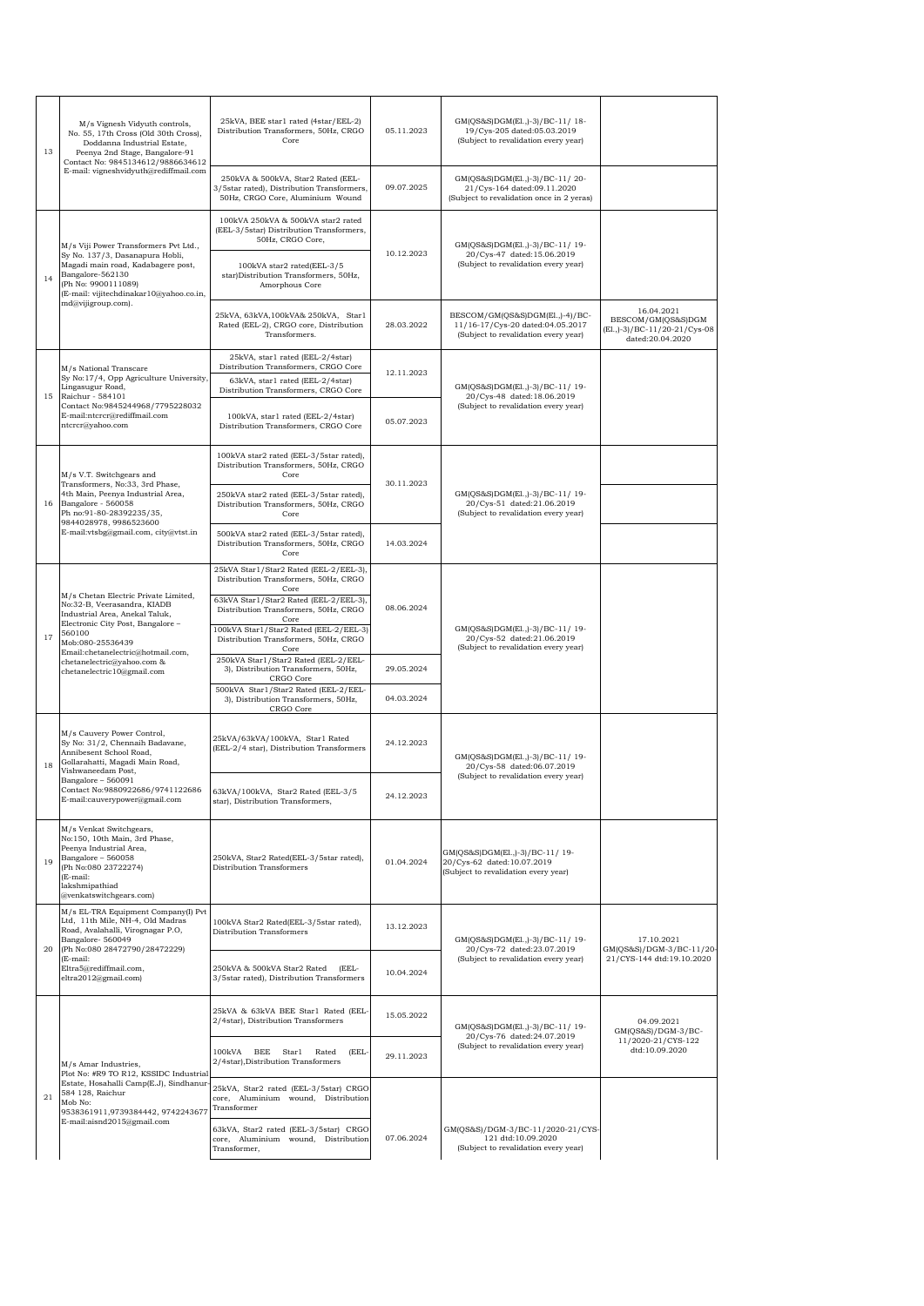| 13 | M/s Vignesh Vidyuth controls,<br>No. 55, 17th Cross (Old 30th Cross),<br>Doddanna Industrial Estate,<br>Peenya 2nd Stage, Bangalore-91<br>Contact No: 9845134612/9886634612<br>E-mail: vigneshvidyuth@rediffmail.com                                                      | 25kVA, BEE star1 rated (4star/EEL-2)<br>Distribution Transformers, 50Hz, CRGO<br>Core                                                                                                       | 05.11.2023 | GM(QS&S)DGM(El.,)-3)/BC-11/18-<br>19/Cys-205 dated:05.03.2019<br>(Subject to revalidation every year)       |                                                                                       |
|----|---------------------------------------------------------------------------------------------------------------------------------------------------------------------------------------------------------------------------------------------------------------------------|---------------------------------------------------------------------------------------------------------------------------------------------------------------------------------------------|------------|-------------------------------------------------------------------------------------------------------------|---------------------------------------------------------------------------------------|
|    |                                                                                                                                                                                                                                                                           | 250kVA & 500kVA, Star2 Rated (EEL-<br>3/5star rated), Distribution Transformers,<br>50Hz, CRGO Core, Aluminium Wound                                                                        | 09.07.2025 | GM(QS&S)DGM(El.,)-3)/BC-11/20-<br>21/Cys-164 dated:09.11.2020<br>(Subject to revalidation once in 2 yeras)  |                                                                                       |
| 14 | M/s Viji Power Transformers Pvt Ltd.,<br>Sy No. 137/3, Dasanapura Hobli,<br>Magadi main road, Kadabagere post,<br>Bangalore-562130<br>(Ph No: 9900111089)<br>(E-mail: vijitechdinakar10@yahoo.co.in,                                                                      | 100kVA 250kVA & 500kVA star2 rated<br>(EEL-3/5star) Distribution Transformers,<br>50Hz, CRGO Core,<br>100kVA star2 rated(EEL-3/5<br>star)Distribution Transformers, 50Hz,<br>Amorphous Core | 10.12.2023 | GM(QS&S)DGM(El.,)-3)/BC-11/19-<br>20/Cys-47 dated:15.06.2019<br>(Subject to revalidation every year)        |                                                                                       |
|    | md@vijigroup.com).                                                                                                                                                                                                                                                        | 25kVA, 63kVA, 100kVA& 250kVA, Star1<br>Rated (EEL-2), CRGO core, Distribution<br>Transformers.                                                                                              | 28.03.2022 | BESCOM/GM(QS&S)DGM(El.,)-4)/BC-<br>11/16-17/Cys-20 dated:04.05.2017<br>(Subject to revalidation every year) | 16.04.2021<br>BESCOM/GM(QS&S)DGM<br>(El., )-3)/BC-11/20-21/Cys-08<br>dated:20.04.2020 |
|    | M/s National Transcare                                                                                                                                                                                                                                                    | 25kVA, star1 rated (EEL-2/4star)<br>Distribution Transformers, CRGO Core                                                                                                                    | 12.11.2023 |                                                                                                             |                                                                                       |
| 15 | Sy No:17/4, Opp Agriculture University,<br>Lingasugur Road,<br>Raichur - 584101                                                                                                                                                                                           | 63kVA, star1 rated (EEL-2/4star)<br>Distribution Transformers, CRGO Core                                                                                                                    |            | GM(QS&S)DGM(El.,)-3)/BC-11/ 19-<br>20/Cys-48 dated:18.06.2019                                               |                                                                                       |
|    | Contact No:9845244968/7795228032<br>E-mail:ntcrcr@rediffmail.com<br>ntcrcr@yahoo.com                                                                                                                                                                                      | 100kVA, star1 rated (EEL-2/4star)<br>Distribution Transformers, CRGO Core                                                                                                                   | 05.07.2023 | (Subject to revalidation every year)                                                                        |                                                                                       |
|    | M/s V.T. Switchgears and<br>Transformers, No:33, 3rd Phase,                                                                                                                                                                                                               | 100kVA star2 rated (EEL-3/5star rated),<br>Distribution Transformers, 50Hz, CRGO<br>Core                                                                                                    | 30.11.2023 |                                                                                                             |                                                                                       |
| 16 | 4th Main, Peenya Industrial Area,<br>Bangalore - 560058<br>Ph no:91-80-28392235/35,<br>9844028978, 9986523600                                                                                                                                                             | 250kVA star2 rated (EEL-3/5star rated),<br>Distribution Transformers, 50Hz, CRGO<br>Core                                                                                                    |            | GM(QS&S)DGM(El.,)-3)/BC-11/19-<br>20/Cys-51 dated:21.06.2019<br>(Subject to revalidation every year)        |                                                                                       |
|    | E-mail:vtsbg@gmail.com, city@vtst.in                                                                                                                                                                                                                                      | 500kVA star2 rated (EEL-3/5star rated),<br>Distribution Transformers, 50Hz, CRGO<br>Core                                                                                                    | 14.03.2024 |                                                                                                             |                                                                                       |
|    | M/s Chetan Electric Private Limited,<br>No:32-B, Veerasandra, KIADB<br>Industrial Area, Anekal Taluk,<br>Electronic City Post, Bangalore -<br>560100<br>Mob:080-25536439<br>Email:chetanelectric@hotmail.com,<br>chetanelectric@yahoo.com &<br>chetanelectric10@gmail.com | 25kVA Star1/Star2 Rated (EEL-2/EEL-3),<br>Distribution Transformers, 50Hz, CRGO<br>Core                                                                                                     |            | GM(QS&S)DGM(El.,)-3)/BC-11/19-<br>20/Cys-52 dated:21.06.2019<br>(Subject to revalidation every year)        |                                                                                       |
|    |                                                                                                                                                                                                                                                                           | 63kVA Star1/Star2 Rated (EEL-2/EEL-3),<br>Distribution Transformers, 50Hz, CRGO<br>Core                                                                                                     | 08.06.2024 |                                                                                                             |                                                                                       |
| 17 |                                                                                                                                                                                                                                                                           | 100kVA Star1/Star2 Rated (EEL-2/EEL-3)<br>Distribution Transformers, 50Hz, CRGO<br>Core                                                                                                     |            |                                                                                                             |                                                                                       |
|    |                                                                                                                                                                                                                                                                           | 250kVA Star1/Star2 Rated (EEL-2/EEL-<br>3), Distribution Transformers, 50Hz,<br>CRGO Core                                                                                                   | 29.05.2024 |                                                                                                             |                                                                                       |
|    |                                                                                                                                                                                                                                                                           | 500kVA Star1/Star2 Rated (EEL-2/EEL-<br>3), Distribution Transformers, 50Hz,<br>CRGO Core                                                                                                   | 04.03.2024 |                                                                                                             |                                                                                       |
| 18 | M/s Cauvery Power Control,<br>Sy No: 31/2, Chennaih Badavane,<br>Annibesent School Road,<br>Gollarahatti, Magadi Main Road,<br>Vishwaneedam Post,<br>Bangalore - 560091<br>Contact No:9880922686/9741122686<br>E-mail:cauverypower@gmail.com                              | 25kVA/63kVA/100kVA, Star1 Rated<br>(EEL-2/4 star), Distribution Transformers                                                                                                                | 24.12.2023 | GM(QS&S)DGM(El.,)-3)/BC-11/19-<br>20/Cys-58 dated:06.07.2019                                                |                                                                                       |
|    |                                                                                                                                                                                                                                                                           | 63kVA/100kVA, Star2 Rated (EEL-3/5<br>star), Distribution Transformers,                                                                                                                     | 24.12.2023 | (Subject to revalidation every year)                                                                        |                                                                                       |
| 19 | M/s Venkat Switchgears,<br>No:150, 10th Main, 3rd Phase,<br>Peenya Industrial Area,<br>Bangalore - 560058<br>(Ph No:080 23722274)<br>(E-mail:<br>lakshmipathiad<br>@venkatswitchgears.com)                                                                                | 250kVA, Star2 Rated(EEL-3/5star rated),<br>Distribution Transformers                                                                                                                        | 01.04.2024 | GM(QS&S)DGM(El.,)-3)/BC-11/19-<br>20/Cys-62 dated:10.07.2019<br>(Subject to revalidation every year)        |                                                                                       |
| 20 | M/s EL-TRA Equipment Company(I) Pvt<br>Ltd, 11th Mile, NH-4, Old Madras<br>Road, Avalahalli, Virognagar P.O,<br>Bangalore-560049<br>(Ph No:080 28472790/28472229)<br>(E-mail:<br>Eltra5@rediffmail.com,<br>eltra2012@gmail.com)                                           | 100kVA Star2 Rated(EEL-3/5star rated),<br>Distribution Transformers                                                                                                                         | 13.12.2023 | GM(QS&S)DGM(El.,)-3)/BC-11/19-                                                                              | 17.10.2021                                                                            |
|    |                                                                                                                                                                                                                                                                           | 250kVA & 500kVA Star2 Rated (EEL-<br>3/5star rated), Distribution Transformers                                                                                                              | 10.04.2024 | 20/Cys-72 dated:23.07.2019<br>(Subject to revalidation every year)                                          | GM(QS&S)/DGM-3/BC-11/20-<br>21/CYS-144 dtd:19.10.2020                                 |
|    |                                                                                                                                                                                                                                                                           | 25kVA & 63kVA BEE Star1 Rated (EEL-<br>2/4star), Distribution Transformers                                                                                                                  | 15.05.2022 | GM(QS&S)DGM(El.,)-3)/BC-11/19-<br>20/Cys-76 dated:24.07.2019                                                | 04.09.2021<br>GM(QS&S)/DGM-3/BC-                                                      |
|    | M/s Amar Industries,<br>Plot No: #R9 TO R12, KSSIDC Industrial                                                                                                                                                                                                            | 100kVA BEE Star1 Rated<br>(EEL-<br>2/4star), Distribution Transformers                                                                                                                      | 29.11.2023 | (Subject to revalidation every year)                                                                        | 11/2020-21/CYS-122<br>dtd:10.09.2020                                                  |
| 21 | Estate, Hosahalli Camp(E.J), Sindhanur-<br>584 128, Raichur<br>Mob No:<br>9538361911,9739384442, 9742243677                                                                                                                                                               | 25kVA, Star2 rated (EEL-3/5star) CRGO<br>core, Aluminium wound, Distribution<br>Transformer                                                                                                 |            |                                                                                                             |                                                                                       |
|    | E-mail:aisnd2015@gmail.com                                                                                                                                                                                                                                                | 63kVA, Star2 rated (EEL-3/5star) CRGO<br>core, Aluminium wound, Distribution<br>Transformer,                                                                                                | 07.06.2024 | GM(QS&S)/DGM-3/BC-11/2020-21/CYS-<br>121 dtd:10.09.2020<br>(Subject to revalidation every year)             |                                                                                       |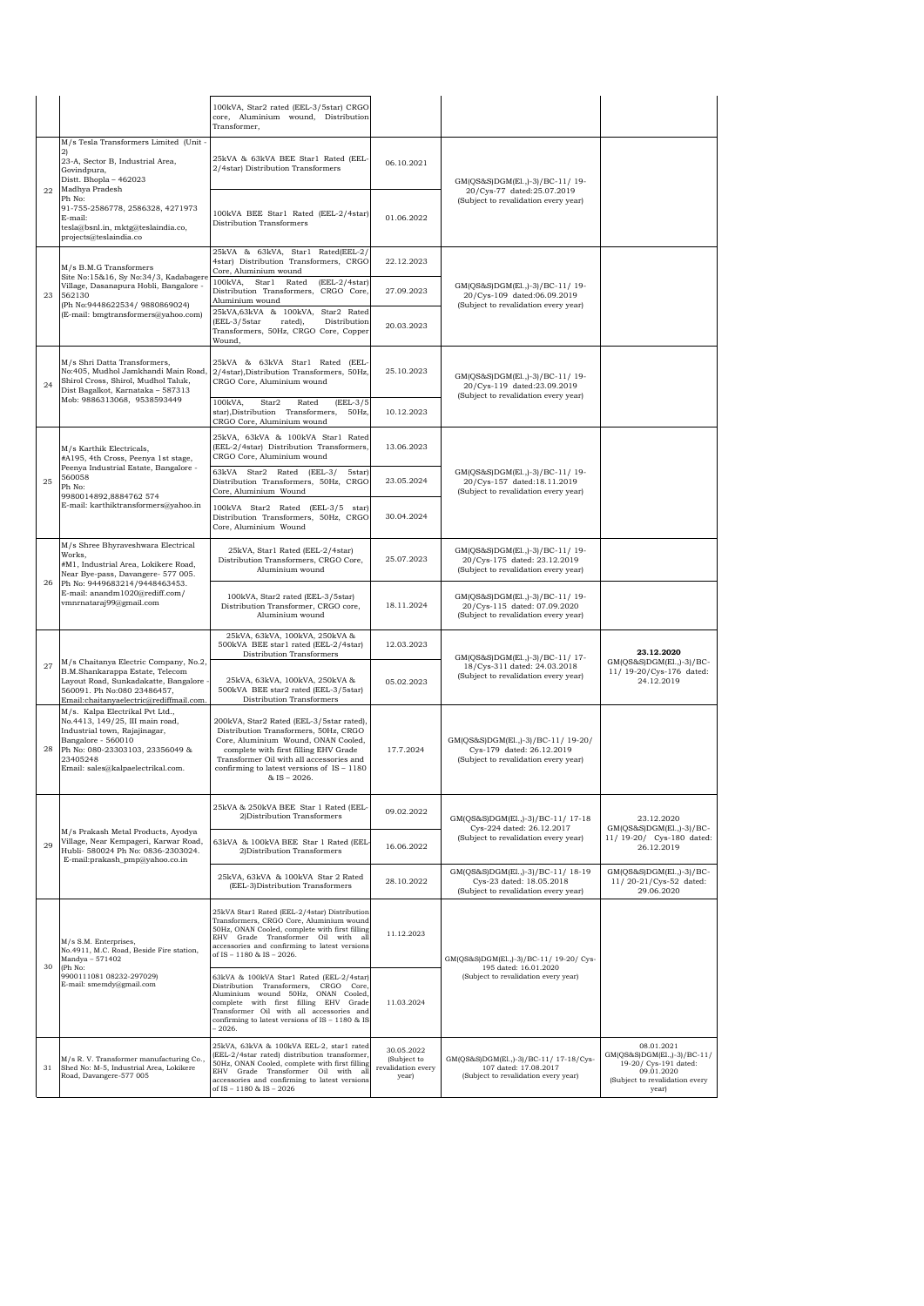|    |                                                                                                                                                                                                                          | 100kVA, Star2 rated (EEL-3/5star) CRGO<br>core, Aluminium wound, Distribution<br>Transformer,                                                                                                                                                                                   |                                                          |                                                                                                          |                                                                                                                             |
|----|--------------------------------------------------------------------------------------------------------------------------------------------------------------------------------------------------------------------------|---------------------------------------------------------------------------------------------------------------------------------------------------------------------------------------------------------------------------------------------------------------------------------|----------------------------------------------------------|----------------------------------------------------------------------------------------------------------|-----------------------------------------------------------------------------------------------------------------------------|
|    | M/s Tesla Transformers Limited (Unit-<br>2)<br>23-A, Sector B, Industrial Area,<br>Govindpura,<br>Distt. Bhopla - 462023<br>Madhya Pradesh                                                                               | 25kVA & 63kVA BEE Star1 Rated (EEL-<br>2/4star) Distribution Transformers                                                                                                                                                                                                       | 06.10.2021                                               | GM(QS&S)DGM(El.,)-3)/BC-11/19-<br>20/Cys-77 dated:25.07.2019<br>(Subject to revalidation every year)     |                                                                                                                             |
| 22 | Ph No:<br>91-755-2586778, 2586328, 4271973<br>E-mail:<br>tesla@bsnl.in, mktg@teslaindia.co,<br>projects@teslaindia.co                                                                                                    | 100kVA BEE Star1 Rated (EEL-2/4star)<br>Distribution Transformers                                                                                                                                                                                                               | 01.06.2022                                               |                                                                                                          |                                                                                                                             |
|    | M/s B.M.G Transformers<br>Site No:15&16, Sy No:34/3, Kadabagere<br>Village, Dasanapura Hobli, Bangalore -<br>562130<br>(Ph No:9448622534/ 9880869024)<br>(E-mail: bmgtransformers@yahoo.com)                             | 25kVA & 63kVA, Star1 Rated(EEL-2/<br>4star) Distribution Transformers, CRGO<br>Core, Aluminium wound                                                                                                                                                                            | 22.12.2023                                               |                                                                                                          |                                                                                                                             |
| 23 |                                                                                                                                                                                                                          | 100kVA, Star1 Rated<br>$(EEL-2/4star)$<br>Distribution Transformers. CRGO Core.<br>Aluminium wound                                                                                                                                                                              | 27.09.2023                                               | GM(QS&S)DGM(El.,)-3)/BC-11/19-<br>20/Cys-109 dated:06.09.2019<br>(Subject to revalidation every year)    |                                                                                                                             |
|    |                                                                                                                                                                                                                          | 25kVA,63kVA & 100kVA, Star2 Rated<br>(EEL-3/5star<br>rated),<br>Distribution<br>Transformers, 50Hz, CRGO Core, Copper<br>Wound,                                                                                                                                                 | 20.03.2023                                               |                                                                                                          |                                                                                                                             |
| 24 | M/s Shri Datta Transformers,<br>No:405, Mudhol Jamkhandi Main Road,<br>Shirol Cross, Shirol, Mudhol Taluk,<br>Dist Bagalkot, Karnataka - 587313                                                                          | 25kVA & 63kVA Star1 Rated (EEL-<br>2/4star), Distribution Transformers, 50Hz,<br>CRGO Core, Aluminium wound                                                                                                                                                                     | 25.10.2023                                               | GM(QS&S)DGM(El.,)-3)/BC-11/ 19-<br>20/Cys-119 dated:23.09.2019<br>(Subject to revalidation every year)   |                                                                                                                             |
|    | Mob: 9886313068, 9538593449                                                                                                                                                                                              | 100kVA,<br>Star2<br>Rated<br>$(ELL-3/5)$<br>star), Distribution Transformers, 50Hz,<br>CRGO Core, Aluminium wound                                                                                                                                                               | 10.12.2023                                               |                                                                                                          |                                                                                                                             |
|    | M/s Karthik Electricals,<br>#A195, 4th Cross, Peenya 1st stage,<br>Peenya Industrial Estate, Bangalore -                                                                                                                 | 25kVA, 63kVA & 100kVA Star1 Rated<br>(EEL-2/4star) Distribution Transformers,<br>CRGO Core, Aluminium wound                                                                                                                                                                     | 13.06.2023                                               |                                                                                                          |                                                                                                                             |
| 25 | 560058<br>Ph No:<br>9980014892.8884762 574                                                                                                                                                                               | 63kVA Star2 Rated<br>$(EEL-3)$<br>5star)<br>Distribution Transformers, 50Hz, CRGO<br>Core, Aluminium Wound                                                                                                                                                                      | 23.05.2024                                               | GM(QS&S)DGM(El.,)-3)/BC-11/19-<br>20/Cys-157 dated:18.11.2019<br>(Subject to revalidation every year)    |                                                                                                                             |
|    | E-mail: karthiktransformers@yahoo.in                                                                                                                                                                                     | 100kVA Star2 Rated (EEL-3/5 star)<br>Distribution Transformers, 50Hz, CRGO<br>Core, Aluminium Wound                                                                                                                                                                             | 30.04.2024                                               |                                                                                                          |                                                                                                                             |
|    | M/s Shree Bhyraveshwara Electrical<br>Works,<br>#M1, Industrial Area, Lokikere Road,<br>Near Bye-pass, Davangere- 577 005.<br>Ph No: 9449683214/9448463453.<br>E-mail: anandm1020@rediff.com/<br>vmnrnataraj99@gmail.com | 25kVA, Star1 Rated (EEL-2/4star)<br>Distribution Transformers, CRGO Core,<br>Aluminium wound                                                                                                                                                                                    | 25.07.2023                                               | GM(QS&S)DGM(El.,)-3)/BC-11/19-<br>20/Cys-175 dated: 23.12.2019<br>(Subject to revalidation every year)   |                                                                                                                             |
| 26 |                                                                                                                                                                                                                          | 100kVA, Star2 rated (EEL-3/5star)<br>Distribution Transformer, CRGO core,<br>Aluminium wound                                                                                                                                                                                    | 18.11.2024                                               | GM(QS&S)DGM(El.,)-3)/BC-11/19-<br>20/Cys-115 dated: 07.09.2020<br>(Subject to revalidation every year)   |                                                                                                                             |
| 27 | M/s Chaitanya Electric Company, No.2,<br>B.M.Shankarappa Estate, Telecom<br>Layout Road, Sunkadakatte, Bangalore -<br>560091. Ph No:080 23486457,<br>Email:chaitanyaelectric@rediffmail.com.                             | 25kVA, 63kVA, 100kVA, 250kVA &<br>500kVA BEE star1 rated (EEL-2/4star)<br>Distribution Transformers                                                                                                                                                                             | 12.03.2023                                               | GM(QS&S)DGM(El.,)-3)/BC-11/17-<br>18/Cys-311 dated: 24.03.2018                                           | 23.12.2020<br>GM(QS&S)DGM(El.,)-3)/BC-                                                                                      |
|    |                                                                                                                                                                                                                          | 25kVA, 63kVA, 100kVA, 250kVA &<br>500kVA BEE star2 rated (EEL-3/5star)<br>Distribution Transformers                                                                                                                                                                             | 05.02.2023                                               | (Subject to revalidation every year)                                                                     | 11/ 19-20/Cys-176 dated:<br>24.12.2019                                                                                      |
| 28 | M/s. Kalpa Electrikal Pvt Ltd.,<br>No.4413, 149/25, III main road,<br>Industrial town, Rajajinagar,<br>Bangalore - 560010<br>Ph No: 080-23303103, 23356049 &<br>23405248<br>Email: sales@kalpaelectrikal.com.            | 200kVA, Star2 Rated (EEL-3/5star rated),<br>Distribution Transformers, 50Hz, CRGO<br>Core, Aluminium Wound, ONAN Cooled,<br>complete with first filling EHV Grade<br>Transformer Oil with all accessories and<br>confirming to latest versions of $IS - 1180$<br>$&$ IS - 2026. | 17.7.2024                                                | GM(QS&S)DGM(El.,)-3)/BC-11/ 19-20/<br>Cys-179 dated: 26.12.2019<br>(Subject to revalidation every year)  |                                                                                                                             |
|    |                                                                                                                                                                                                                          | 25kVA & 250kVA BEE Star 1 Rated (EEL-<br>2) Distribution Transformers                                                                                                                                                                                                           | 09.02.2022                                               | GM(QS&S)DGM(El.,)-3)/BC-11/ 17-18                                                                        | 23.12.2020                                                                                                                  |
| 29 | M/s Prakash Metal Products, Ayodya<br>Village, Near Kempageri, Karwar Road,<br>Hubli- 580024 Ph No: 0836-2303024.<br>E-mail:prakash_pmp@yahoo.co.in                                                                      | 63kVA & 100kVA BEE Star 1 Rated (EEL<br>2) Distribution Transformers                                                                                                                                                                                                            | 16.06.2022                                               | Cys-224 dated: 26.12.2017<br>(Subject to revalidation every year)                                        | GM(QS&S)DGM(El.,)-3)/BC-<br>11/19-20/ Cys-180 dated:<br>26.12.2019                                                          |
|    |                                                                                                                                                                                                                          | 25kVA, 63kVA & 100kVA Star 2 Rated<br>(EEL-3)Distribution Transformers                                                                                                                                                                                                          | 28.10.2022                                               | GM(QS&S)DGM(El.,)-3)/BC-11/ 18-19<br>Cys-23 dated: 18.05.2018<br>(Subject to revalidation every year)    | GM(QS&S)DGM(El.,)-3)/BC-<br>11/20-21/Cys-52 dated:<br>29.06.2020                                                            |
| 30 | M/s S.M. Enterprises,<br>No.4911, M.C. Road, Beside Fire station,<br>Mandya - 571402                                                                                                                                     | 25kVA Star1 Rated (EEL-2/4star) Distribution<br>Transformers, CRGO Core, Aluminium wound<br>50Hz, ONAN Cooled, complete with first filling<br>EHV Grade Transformer Oil with all<br>accessories and confirming to latest versions<br>of IS - 1180 & IS - 2026.                  | 11.12.2023                                               | GM(QS&S)DGM(El.,)-3)/BC-11/ 19-20/ Cys-<br>195 dated: 16.01.2020<br>(Subject to revalidation every year) |                                                                                                                             |
|    | (Ph No:<br>9900111081 08232-297029)<br>E-mail: smemdy@gmail.com                                                                                                                                                          | 63kVA & 100kVA Star1 Rated (EEL-2/4star)<br>Distribution Transformers, CRGO Core,<br>Aluminium wound 50Hz, ONAN Cooled,<br>complete with first filling EHV Grade<br>Transformer Oil with all accessories and<br>confirming to latest versions of IS - 1180 & IS<br>$-2026.$     | 11.03.2024                                               |                                                                                                          |                                                                                                                             |
| 31 | M/s R.V. Transformer manufacturing Co.,<br>Shed No: M-5, Industrial Area, Lokikere<br>Road, Davangere-577 005                                                                                                            | 25kVA, 63kVA & 100kVA EEL-2, star1 rated<br>(EEL-2/4star rated) distribution transformer,<br>50Hz, ONAN Cooled, complete with first filling<br>EHV Grade Transformer Oil with all<br>accessories and confirming to latest versions<br>of IS - 1180 & IS - 2026                  | 30.05.2022<br>(Subject to<br>revalidation every<br>year) | GM(QS&S)DGM(E1.,)-3)/BC-11/ 17-18/Cys-<br>107 dated: 17.08.2017<br>(Subject to revalidation every year)  | 08.01.2021<br>GM(QS&S)DGM(El.,)-3)/BC-11/<br>19-20/ Cys-191 dated:<br>09.01.2020<br>(Subject to revalidation every<br>year) |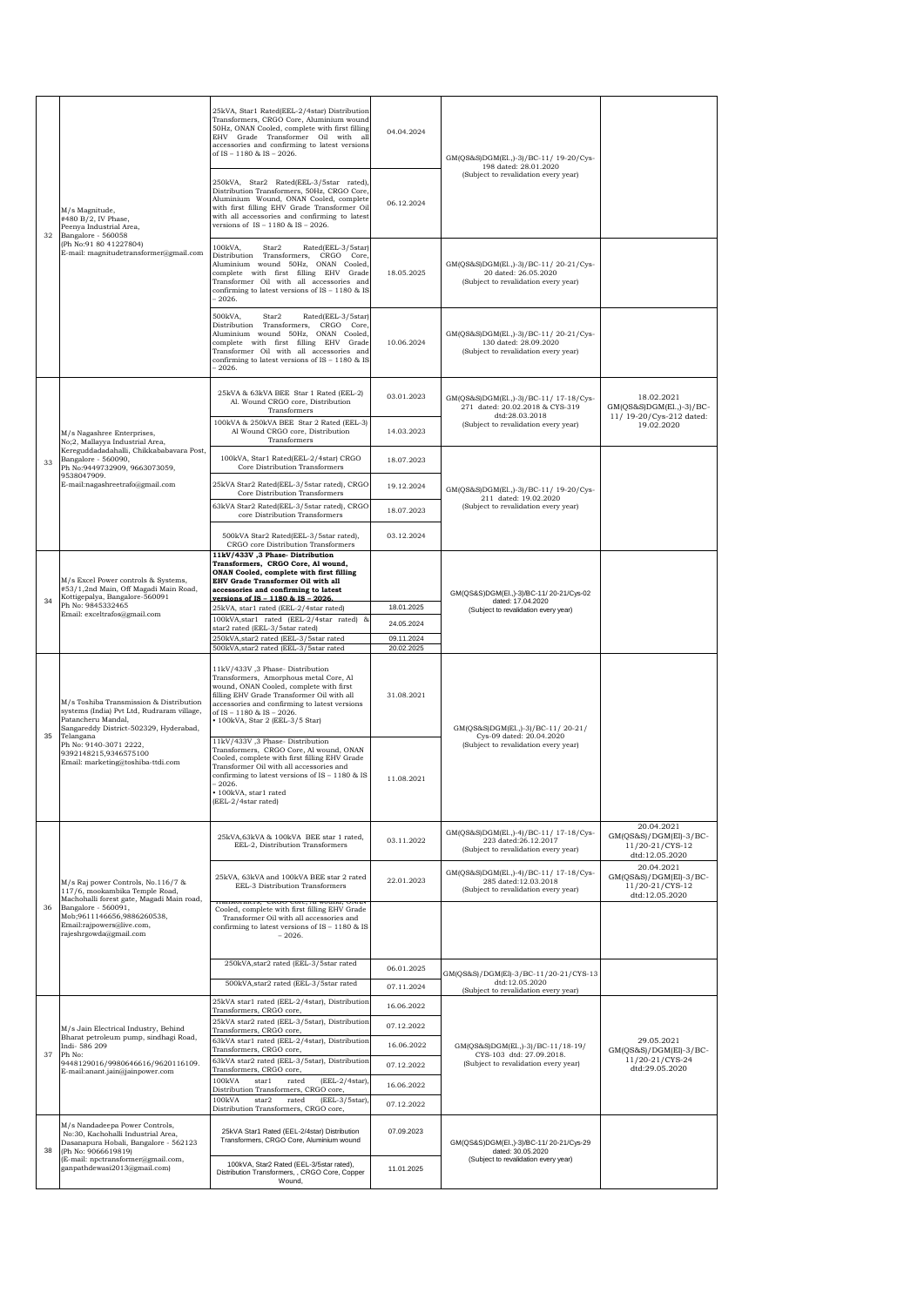|    | M/s Magnitude,<br>#480 B/2, IV Phase,<br>Peenya Industrial Area,<br>Bangalore - 560058<br>(Ph No:91 80 41227804)<br>E-mail: magnitudetransformer@gmail.com                 | 25kVA, Star1 Rated(EEL-2/4star) Distribution<br>Transformers, CRGO Core, Aluminium wound<br>50Hz, ONAN Cooled, complete with first filling<br>EHV Grade Transformer Oil with all<br>accessories and confirming to latest versions<br>of IS - 1180 & IS - 2026.                         | 04.04.2024               | GM(QS&S)DGM(El.,)-3)/BC-11/ 19-20/Cys-                                                                 |                                                                           |
|----|----------------------------------------------------------------------------------------------------------------------------------------------------------------------------|----------------------------------------------------------------------------------------------------------------------------------------------------------------------------------------------------------------------------------------------------------------------------------------|--------------------------|--------------------------------------------------------------------------------------------------------|---------------------------------------------------------------------------|
| 32 |                                                                                                                                                                            | 250kVA, Star2 Rated(EEL-3/5star rated),<br>Distribution Transformers, 50Hz, CRGO Core,<br>Aluminium Wound, ONAN Cooled, complete<br>with first filling EHV Grade Transformer Oil<br>with all accessories and confirming to latest<br>versions of IS - 1180 & IS - 2026.                | 06.12.2024               | 198 dated: 28.01.2020<br>(Subject to revalidation every year)                                          |                                                                           |
|    |                                                                                                                                                                            | 100kVA,<br>Star2<br>Rated(EEL-3/5star)<br>Distribution Transformers, CRGO Core,<br>Aluminium wound 50Hz, ONAN Cooled,<br>complete with first filling EHV Grade<br>Transformer Oil with all accessories and<br>confirming to latest versions of IS - 1180 & IS<br>$-2026.$              | 18.05.2025               | GM(QS&S)DGM(E1.,)-3)/BC-11/20-21/Cvs-<br>20 dated: 26.05.2020<br>(Subject to revalidation every year)  |                                                                           |
|    |                                                                                                                                                                            | Rated(EEL-3/5star)<br>500kVA.<br>Star2<br>Distribution Transformers, CRGO Core,<br>Aluminium wound 50Hz, ONAN Cooled,<br>complete with first filling EHV Grade<br>Transformer Oil with all accessories and<br>confirming to latest versions of IS - 1180 & IS<br>$-2026.$              | 10.06.2024               | GM(QS&S)DGM(E1.,)-3)/BC-11/20-21/Cys-<br>130 dated: 28.09.2020<br>(Subject to revalidation every year) |                                                                           |
|    |                                                                                                                                                                            | 25kVA & 63kVA BEE Star 1 Rated (EEL-2)<br>Al. Wound CRGO core, Distribution<br>Transformers                                                                                                                                                                                            | 03.01.2023               | GM(QS&S)DGM(E1.,)-3)/BC-11/ 17-18/Cys-<br>271 dated: 20.02.2018 & CYS-319<br>dtd:28.03.2018            | 18.02.2021<br>GM(QS&S)DGM(El.,)-3)/BC-<br>11/ 19-20/Cys-212 dated:        |
|    | M/s Nagashree Enterprises,<br>No;2, Mallayya Industrial Area,<br>Kereguddadadahalli, Chikkababavara Post,                                                                  | 100kVA & 250kVA BEE Star 2 Rated (EEL-3)<br>Al Wound CRGO core, Distribution<br>Transformers                                                                                                                                                                                           | 14.03.2023               | (Subject to revalidation every year)                                                                   | 19.02.2020                                                                |
| 33 | Bangalore - 560090,<br>Ph No:9449732909, 9663073059,<br>9538047909.                                                                                                        | 100kVA, Star1 Rated(EEL-2/4star) CRGO<br>Core Distribution Transformers                                                                                                                                                                                                                | 18.07.2023               |                                                                                                        |                                                                           |
|    | E-mail:nagashreetrafo@gmail.com                                                                                                                                            | 25kVA Star2 Rated(EEL-3/5star rated), CRGO<br>Core Distribution Transformers                                                                                                                                                                                                           | 19.12.2024               | GM(QS&S)DGM(E1.,)-3)/BC-11/ 19-20/Cys-<br>211 dated: 19.02.2020                                        |                                                                           |
|    |                                                                                                                                                                            | 63kVA Star2 Rated(EEL-3/5star rated), CRGO<br>core Distribution Transformers                                                                                                                                                                                                           | 18.07.2023               | (Subject to revalidation every year)                                                                   |                                                                           |
|    |                                                                                                                                                                            | 500kVA Star2 Rated(EEL-3/5star rated),<br>CRGO core Distribution Transformers                                                                                                                                                                                                          | 03.12.2024               |                                                                                                        |                                                                           |
|    | M/s Excel Power controls & Systems,<br>#53/1,2nd Main, Off Magadi Main Road,<br>Kottigepalya, Bangalore-560091<br>Ph No: 9845332465<br>Email: exceltrafos@gmail.com        | 11kV/433V ,3 Phase-Distribution<br>Transformers, CRGO Core, Al wound,<br>ONAN Cooled, complete with first filling<br>EHV Grade Transformer Oil with all<br>accessories and confirming to latest                                                                                        |                          | GM(QS&S)DGM(El.,)-3)/BC-11/20-21/Cys-02<br>dated: 17.04.2020<br>(Subject to revalidation every year)   |                                                                           |
| 34 |                                                                                                                                                                            | versions of IS - 1180 & IS - 2026.<br>25kVA, star1 rated (EEL-2/4star rated)                                                                                                                                                                                                           | 18.01.2025               |                                                                                                        |                                                                           |
|    |                                                                                                                                                                            | 100kVA, star1 rated (EEL-2/4star rated) &<br>star2 rated (EEL-3/5star rated)<br>250kVA, star2 rated (EEL-3/5star rated                                                                                                                                                                 | 24.05.2024<br>09.11.2024 |                                                                                                        |                                                                           |
|    |                                                                                                                                                                            | 500kVA, star2 rated (EEL-3/5star rated                                                                                                                                                                                                                                                 | 20.02.2025               |                                                                                                        |                                                                           |
|    | M/s Toshiba Transmission & Distribution<br>systems (India) Pvt Ltd, Rudraram village,<br>Patancheru Mandal,                                                                |                                                                                                                                                                                                                                                                                        |                          |                                                                                                        |                                                                           |
|    | Sangareddy District-502329, Hyderabad,                                                                                                                                     | 11kV/433V ,3 Phase-Distribution<br>Transformers, Amorphous metal Core, Al<br>wound, ONAN Cooled, complete with first<br>filling EHV Grade Transformer Oil with all<br>accessories and confirming to latest versions<br>of IS - 1180 & IS - 2026.<br>• 100kVA, Star 2 (EEL-3/5 Star)    | 31.08.2021               | GM(QS&S)DGM(El.,)-3)/BC-11/20-21/                                                                      |                                                                           |
| 35 | Telangana<br>Ph No: 9140-3071 2222,<br>9392148215,9346575100<br>Email: marketing@toshiba-ttdi.com                                                                          | 11kV/433V ,3 Phase-Distribution<br>Transformers, CRGO Core, Al wound, ONAN<br>Cooled, complete with first filling EHV Grade<br>Transformer Oil with all accessories and<br>confirming to latest versions of IS - 1180 & IS<br>$-2026.$<br>· 100kVA, star1 rated<br>(EEL-2/4star rated) | 11.08.2021               | Cys-09 dated: 20.04.2020<br>(Subject to revalidation every year)                                       |                                                                           |
|    |                                                                                                                                                                            | 25kVA.63kVA & 100kVA BEE star 1 rated.<br>EEL-2, Distribution Transformers                                                                                                                                                                                                             | 03.11.2022               | GM(QS&S)DGM(E1.,)-4)/BC-11/ 17-18/Cys-<br>223 dated:26.12.2017<br>(Subject to revalidation every year) | 20.04.2021<br>GM(QS&S)/DGM(El)-3/BC-<br>11/20-21/CYS-12<br>dtd:12.05.2020 |
|    | M/s Raj power Controls, No.116/7 &<br>117/6, mookambika Temple Road,<br>Machohalli forest gate, Magadi Main road,                                                          | 25kVA, 63kVA and 100kVA BEE star 2 rated<br>EEL-3 Distribution Transformers                                                                                                                                                                                                            | 22.01.2023               | GM(QS&S)DGM(E1.,)-4)/BC-11/ 17-18/Cys-<br>285 dated:12.03.2018<br>(Subject to revalidation every year) | 20.04.2021<br>GM(QS&S)/DGM(El)-3/BC-<br>11/20-21/CYS-12<br>dtd:12.05.2020 |
| 36 | Bangalore - 560091,<br>Mob;9611146656,9886260538,<br>Email:rajpowers@live.com,<br>rajeshrgowda@gmail.com                                                                   | Cooled, complete with first filling EHV Grade<br>Transformer Oil with all accessories and<br>confirming to latest versions of IS - 1180 & IS<br>$-2026.$                                                                                                                               |                          |                                                                                                        |                                                                           |
|    |                                                                                                                                                                            | 250kVA, star2 rated (EEL-3/5star rated                                                                                                                                                                                                                                                 | 06.01.2025               | GM(QS&S)/DGM(El)-3/BC-11/20-21/CYS-13                                                                  |                                                                           |
|    |                                                                                                                                                                            | 500kVA, star2 rated (EEL-3/5star rated                                                                                                                                                                                                                                                 | 07.11.2024               | dtd:12.05.2020<br>(Subject to revalidation every year)                                                 |                                                                           |
|    |                                                                                                                                                                            | 25kVA star1 rated (EEL-2/4star), Distribution<br>Transformers, CRGO core,                                                                                                                                                                                                              | 16.06.2022               |                                                                                                        |                                                                           |
|    | M/s Jain Electrical Industry, Behind<br>Bharat petroleum pump, sindhagi Road,                                                                                              | 25kVA star2 rated (EEL-3/5star), Distribution<br>Transformers, CRGO core,                                                                                                                                                                                                              | 07.12.2022               |                                                                                                        |                                                                           |
| 37 | Indi-586 209<br>Ph No:                                                                                                                                                     | 63kVA star1 rated (EEL-2/4star), Distribution<br>Transformers, CRGO core,                                                                                                                                                                                                              | 16.06.2022               | GM(QS&S)DGM(E1.,)-3)/BC-11/18-19/<br>CYS-103 dtd: 27.09.2018.                                          | 29.05.2021<br>$GM(QS&S)/DGM(EI)-3/BC-$                                    |
|    | 9448129016/9980646616/9620116109.<br>E-mail:anant.jain@jainpower.com                                                                                                       | 63kVA star2 rated (EEL-3/5star), Distribution<br>Transformers, CRGO core,                                                                                                                                                                                                              | 07.12.2022               | (Subject to revalidation every year)                                                                   | 11/20-21/CYS-24<br>dtd:29.05.2020                                         |
|    |                                                                                                                                                                            | 100kVA<br>star1<br>rated<br>$(EEL-2/4star),$<br>Distribution Transformers, CRGO core,<br>100kVA<br>star2<br>(EEL-3/5star),<br>rated                                                                                                                                                    | 16.06.2022               |                                                                                                        |                                                                           |
|    |                                                                                                                                                                            | Distribution Transformers, CRGO core,                                                                                                                                                                                                                                                  | 07.12.2022               |                                                                                                        |                                                                           |
| 38 | M/s Nandadeepa Power Controls,<br>No:30, Kachohalli Industrial Area,<br>Dasanapura Hobali, Bangalore - 562123<br>(Ph No: 9066619819)<br>(E-mail: npctransformer@gmail.com, | 25kVA Star1 Rated (EEL-2/4star) Distribution<br>Transformers, CRGO Core, Aluminium wound<br>100kVA, Star2 Rated (EEL-3/5star rated),                                                                                                                                                   | 07.09.2023               | GM(QS&S)DGM(El.,)-3)/BC-11/20-21/Cys-29<br>dated: 30.05.2020<br>(Subject to revalidation every year)   |                                                                           |